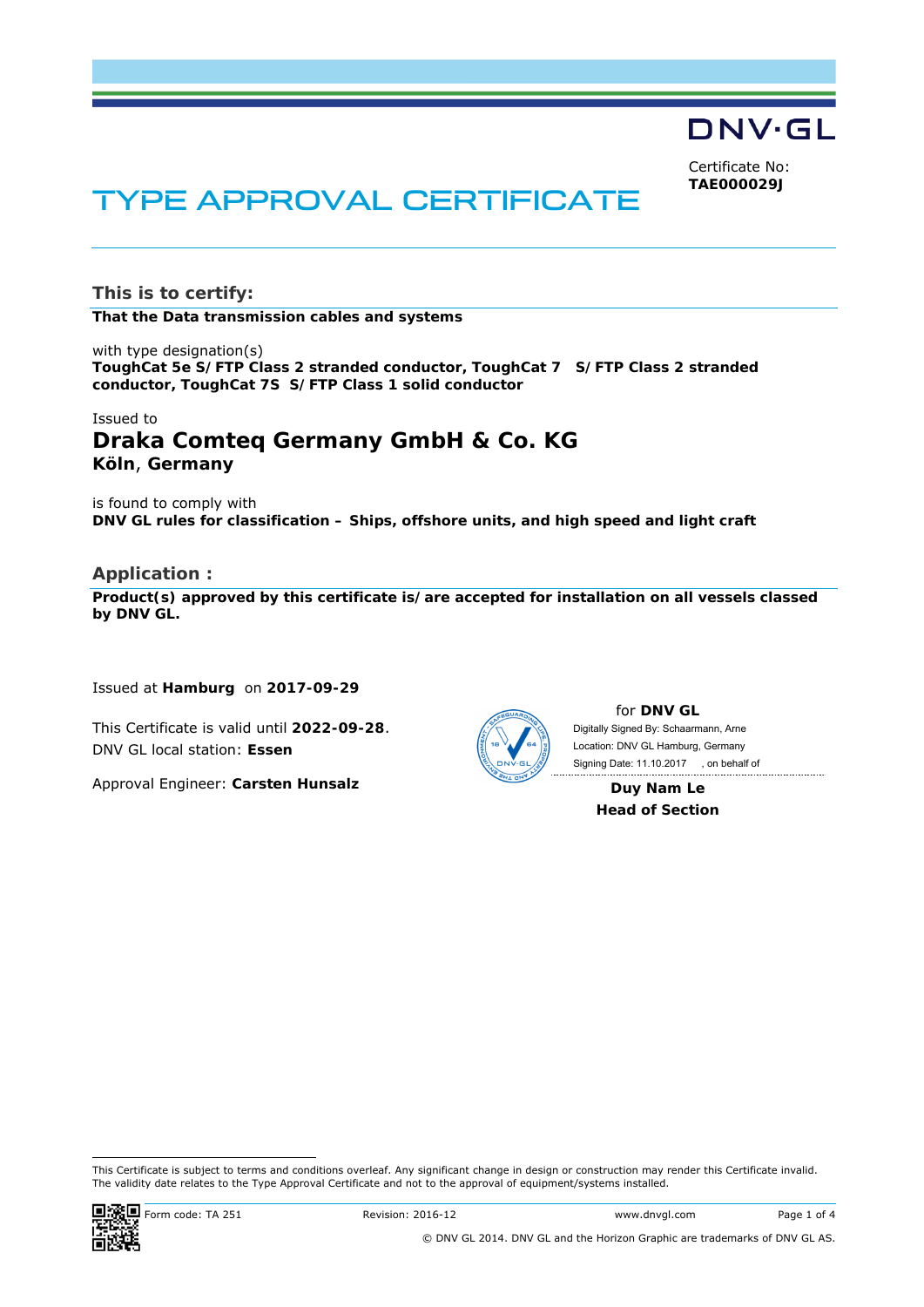DNV·GL

Certificate No: **TAE000029J**

# TYPE APPROVAL CERTIFICATE

**This is to certify:** 

**That the Data transmission cables and systems**

with type designation(s) **ToughCat 5e S/FTP Class 2 stranded conductor, ToughCat 7 S/FTP Class 2 stranded conductor, ToughCat 7S S/FTP Class 1 solid conductor**

# Issued to **Draka Comteq Germany GmbH & Co. KG Köln**, **Germany**

is found to comply with **DNV GL rules for classification – Ships, offshore units, and high speed and light craft** 

## **Application :**

**Product(s) approved by this certificate is/are accepted for installation on all vessels classed by DNV GL.** 

Issued at **Hamburg** on **2017-09-29**

This Certificate is valid until **2022-09-28**. DNV GL local station: **Essen**

Approval Engineer: **Carsten Hunsalz**



for **DNV GL** Signing Date: 11.10.2017 , on behalf ofDigitally Signed By: Schaarmann, Arne Location: DNV GL Hamburg, Germany

**Duy Nam Le Head of Section** 

-This Certificate is subject to terms and conditions overleaf. Any significant change in design or construction may render this Certificate invalid. The validity date relates to the Type Approval Certificate and not to the approval of equipment/systems installed.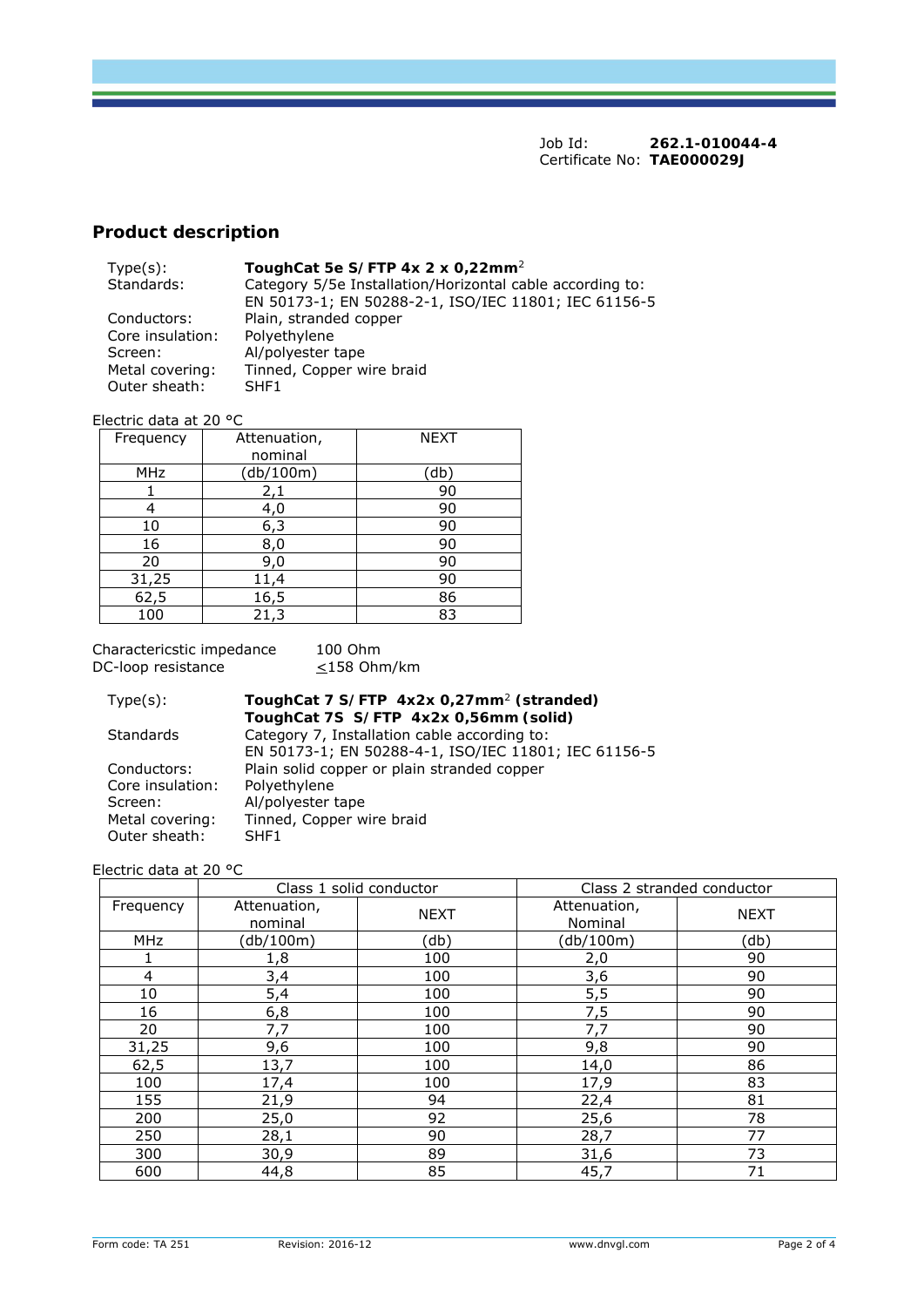Job Id: **262.1-010044-4**  Certificate No: **TAE000029J**

# **Product description**

| $Type(s)$ :      | ToughCat 5e S/FTP 4x 2 x 0,22mm <sup>2</sup>              |
|------------------|-----------------------------------------------------------|
| Standards:       | Category 5/5e Installation/Horizontal cable according to: |
|                  | EN 50173-1; EN 50288-2-1, ISO/IEC 11801; IEC 61156-5      |
| Conductors:      | Plain, stranded copper                                    |
| Core insulation: | Polyethylene                                              |
| Screen:          | Al/polyester tape                                         |
| Metal covering:  | Tinned, Copper wire braid                                 |
| Outer sheath:    | SHF1                                                      |

Electric data at 20 °C

| Frequency | Attenuation,<br>nominal | <b>NEXT</b> |
|-----------|-------------------------|-------------|
| MHz       | (db/100m)               | (db)        |
|           | 2,1                     | 90          |
|           | 4,0                     | 90          |
| 10        | 6,3                     | 90          |
| 16        | 8,0                     | 90          |
| 20        | 9,0                     | 90          |
| 31,25     | 11,4                    | 90          |
| 62,5      | 16,5                    | 86          |
| 100       |                         | 83          |

Charactericstic impedance 100 Ohm DC-loop resistance  $\leq$ 158 Ohm/km

| $Type(s)$ :      | ToughCat 7 S/FTP 4x2x 0,27mm <sup>2</sup> (stranded) |
|------------------|------------------------------------------------------|
|                  | ToughCat 7S S/FTP 4x2x 0,56mm (solid)                |
| <b>Standards</b> | Category 7, Installation cable according to:         |
|                  | EN 50173-1; EN 50288-4-1, ISO/IEC 11801; IEC 61156-5 |
| Conductors:      | Plain solid copper or plain stranded copper          |
| Core insulation: | Polyethylene                                         |
| Screen:          | Al/polyester tape                                    |
| Metal covering:  | Tinned, Copper wire braid                            |
| Outer sheath:    | SHF1                                                 |

Electric data at 20 °C

|            | Class 1 solid conductor |             |                         | Class 2 stranded conductor |  |
|------------|-------------------------|-------------|-------------------------|----------------------------|--|
| Frequency  | Attenuation,<br>nominal | <b>NEXT</b> | Attenuation,<br>Nominal | <b>NEXT</b>                |  |
| <b>MHz</b> | (db/100m)               | (db)        | (db/100m)               | (db)                       |  |
|            | 1,8                     | 100         | 2,0                     | 90                         |  |
| 4          | 3,4                     | 100         | 3,6                     | 90                         |  |
| 10         | 5,4                     | 100         | 5,5                     | 90                         |  |
| 16         | 6,8                     | 100         | 7,5                     | 90                         |  |
| 20         | 7,7                     | 100         | 7,7                     | 90                         |  |
| 31,25      | 9,6                     | 100         | 9,8                     | 90                         |  |
| 62,5       | 13,7                    | 100         | 14,0                    | 86                         |  |
| 100        | 17,4                    | 100         | 17,9                    | 83                         |  |
| 155        | 21,9                    | 94          | 22,4                    | 81                         |  |
| 200        | 25,0                    | 92          | 25,6                    | 78                         |  |
| 250        | 28,1                    | 90          | 28,7                    | 77                         |  |
| 300        | 30,9                    | 89          | 31,6                    | 73                         |  |
| 600        | 44,8                    | 85          | 45,7                    | 71                         |  |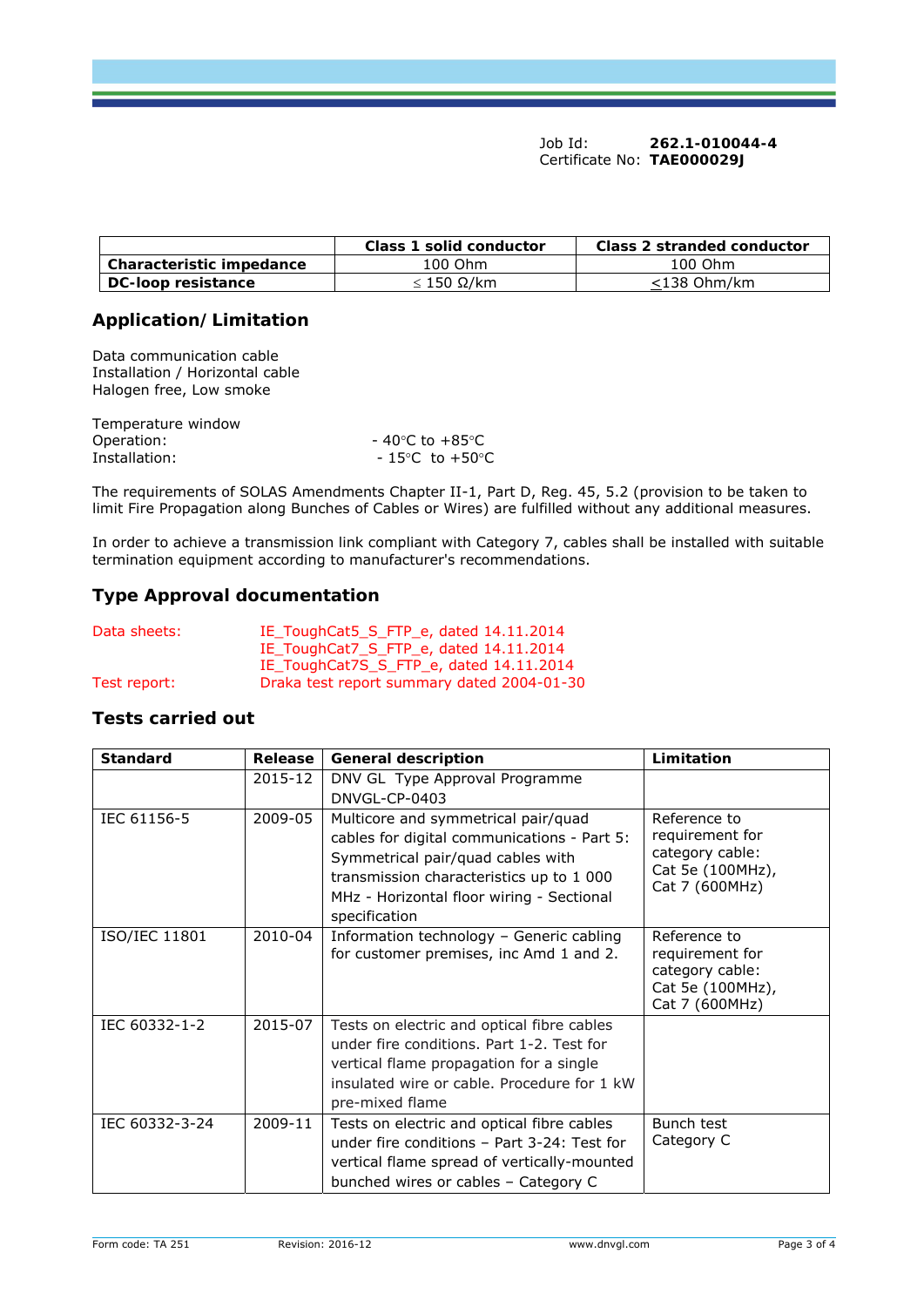Job Id: **262.1-010044-4**  Certificate No: **TAE000029J**

|                          | Class 1 solid conductor | Class 2 stranded conductor |
|--------------------------|-------------------------|----------------------------|
| Characteristic impedance | 100 Ohm                 | 100 Ohm                    |
| DC-loop resistance       | ≤ 150 Ω/km              | $<$ 138 Ohm/km             |

# **Application/Limitation**

Data communication cable Installation / Horizontal cable Halogen free, Low smoke

| $-$ 40 $^{\circ}$ C to +85 $^{\circ}$ C |
|-----------------------------------------|
| $-15^{\circ}$ C to $+50^{\circ}$ C      |
|                                         |

The requirements of SOLAS Amendments Chapter II-1, Part D, Reg. 45, 5.2 (provision to be taken to limit Fire Propagation along Bunches of Cables or Wires) are fulfilled without any additional measures.

In order to achieve a transmission link compliant with Category 7, cables shall be installed with suitable termination equipment according to manufacturer's recommendations.

# **Type Approval documentation**

| Data sheets: | IE ToughCat5_S_FTP_e, dated 14.11.2014     |
|--------------|--------------------------------------------|
|              | IE_ToughCat7_S_FTP_e, dated 14.11.2014     |
|              | IE_ToughCat7S_S_FTP_e, dated 14.11.2014    |
| Test report: | Draka test report summary dated 2004-01-30 |

## **Tests carried out**

| <b>Standard</b> | Release | <b>General description</b>                                                                                                                                                                                                        | Limitation                                                                               |
|-----------------|---------|-----------------------------------------------------------------------------------------------------------------------------------------------------------------------------------------------------------------------------------|------------------------------------------------------------------------------------------|
|                 | 2015-12 | DNV GL Type Approval Programme<br>DNVGL-CP-0403                                                                                                                                                                                   |                                                                                          |
| IEC 61156-5     | 2009-05 | Multicore and symmetrical pair/quad<br>cables for digital communications - Part 5:<br>Symmetrical pair/quad cables with<br>transmission characteristics up to 1 000<br>MHz - Horizontal floor wiring - Sectional<br>specification | Reference to<br>requirement for<br>category cable:<br>Cat 5e (100MHz),<br>Cat 7 (600MHz) |
| ISO/IEC 11801   | 2010-04 | Information technology - Generic cabling<br>for customer premises, inc Amd 1 and 2.                                                                                                                                               | Reference to<br>requirement for<br>category cable:<br>Cat 5e (100MHz),<br>Cat 7 (600MHz) |
| IEC 60332-1-2   | 2015-07 | Tests on electric and optical fibre cables<br>under fire conditions. Part 1-2. Test for<br>vertical flame propagation for a single<br>insulated wire or cable. Procedure for 1 kW<br>pre-mixed flame                              |                                                                                          |
| IEC 60332-3-24  | 2009-11 | Tests on electric and optical fibre cables<br>under fire conditions - Part 3-24: Test for<br>vertical flame spread of vertically-mounted<br>bunched wires or cables - Category C                                                  | Bunch test<br>Category C                                                                 |